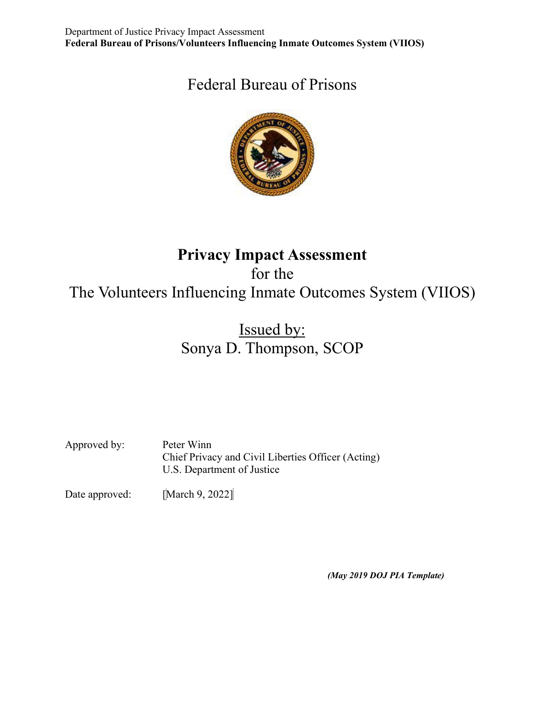# Federal Bureau of Prisons



# **Privacy Impact Assessment** for the The Volunteers Influencing Inmate Outcomes System (VIIOS)

# Issued by: Sonya D. Thompson, SCOP

Approved by: Peter Winn Chief Privacy and Civil Liberties Officer (Acting) U.S. Department of Justice

Date approved: [March 9, 2022]

*(May 2019 DOJ PIA Template)*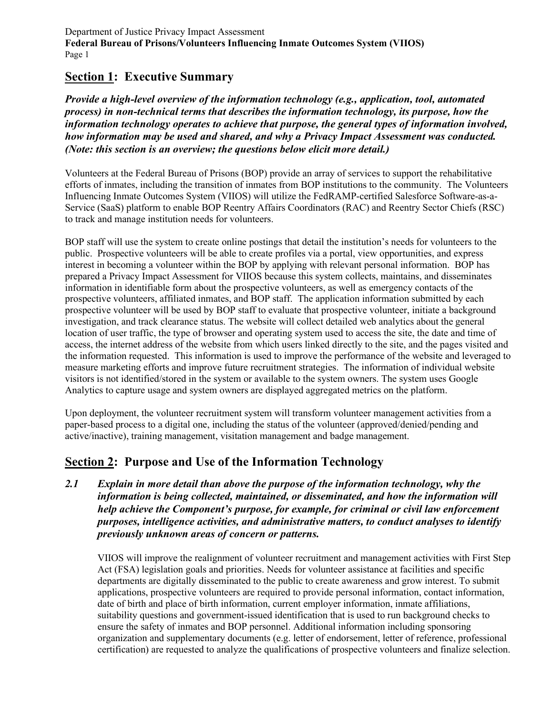# **Section 1: Executive Summary**

*Provide a high-level overview of the information technology (e.g., application, tool, automated process) in non-technical terms that describes the information technology, its purpose, how the information technology operates to achieve that purpose, the general types of information involved, how information may be used and shared, and why a Privacy Impact Assessment was conducted. (Note: this section is an overview; the questions below elicit more detail.)*

Volunteers at the Federal Bureau of Prisons (BOP) provide an array of services to support the rehabilitative efforts of inmates, including the transition of inmates from BOP institutions to the community. The Volunteers Influencing Inmate Outcomes System (VIIOS) will utilize the FedRAMP-certified Salesforce Software-as-a-Service (SaaS) platform to enable BOP Reentry Affairs Coordinators (RAC) and Reentry Sector Chiefs (RSC) to track and manage institution needs for volunteers.

BOP staff will use the system to create online postings that detail the institution's needs for volunteers to the public. Prospective volunteers will be able to create profiles via a portal, view opportunities, and express interest in becoming a volunteer within the BOP by applying with relevant personal information. BOP has prepared a Privacy Impact Assessment for VIIOS because this system collects, maintains, and disseminates information in identifiable form about the prospective volunteers, as well as emergency contacts of the prospective volunteers, affiliated inmates, and BOP staff. The application information submitted by each prospective volunteer will be used by BOP staff to evaluate that prospective volunteer, initiate a background investigation, and track clearance status. The website will collect detailed web analytics about the general location of user traffic, the type of browser and operating system used to access the site, the date and time of access, the internet address of the website from which users linked directly to the site, and the pages visited and the information requested. This information is used to improve the performance of the website and leveraged to measure marketing efforts and improve future recruitment strategies. The information of individual website visitors is not identified/stored in the system or available to the system owners. The system uses Google Analytics to capture usage and system owners are displayed aggregated metrics on the platform.

Upon deployment, the volunteer recruitment system will transform volunteer management activities from a paper-based process to a digital one, including the status of the volunteer (approved/denied/pending and active/inactive), training management, visitation management and badge management.

# **Section 2: Purpose and Use of the Information Technology**

*2.1 Explain in more detail than above the purpose of the information technology, why the information is being collected, maintained, or disseminated, and how the information will help achieve the Component's purpose, for example, for criminal or civil law enforcement purposes, intelligence activities, and administrative matters, to conduct analyses to identify previously unknown areas of concern or patterns.*

VIIOS will improve the realignment of volunteer recruitment and management activities with First Step Act (FSA) legislation goals and priorities. Needs for volunteer assistance at facilities and specific departments are digitally disseminated to the public to create awareness and grow interest. To submit applications, prospective volunteers are required to provide personal information, contact information, date of birth and place of birth information, current employer information, inmate affiliations, suitability questions and government-issued identification that is used to run background checks to ensure the safety of inmates and BOP personnel. Additional information including sponsoring organization and supplementary documents (e.g. letter of endorsement, letter of reference, professional certification) are requested to analyze the qualifications of prospective volunteers and finalize selection.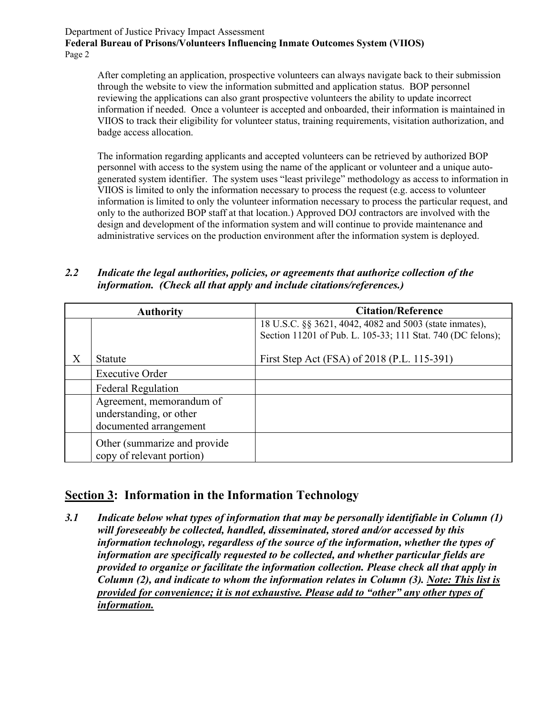After completing an application, prospective volunteers can always navigate back to their submission through the website to view the information submitted and application status. BOP personnel reviewing the applications can also grant prospective volunteers the ability to update incorrect information if needed. Once a volunteer is accepted and onboarded, their information is maintained in VIIOS to track their eligibility for volunteer status, training requirements, visitation authorization, and badge access allocation.

The information regarding applicants and accepted volunteers can be retrieved by authorized BOP personnel with access to the system using the name of the applicant or volunteer and a unique autogenerated system identifier. The system uses "least privilege" methodology as access to information in VIIOS is limited to only the information necessary to process the request (e.g. access to volunteer information is limited to only the volunteer information necessary to process the particular request, and only to the authorized BOP staff at that location.) Approved DOJ contractors are involved with the design and development of the information system and will continue to provide maintenance and administrative services on the production environment after the information system is deployed.

*2.2 Indicate the legal authorities, policies, or agreements that authorize collection of the information. (Check all that apply and include citations/references.)* 

|   | <b>Authority</b>                                                              | <b>Citation/Reference</b>                                                                                              |
|---|-------------------------------------------------------------------------------|------------------------------------------------------------------------------------------------------------------------|
|   |                                                                               | 18 U.S.C. §§ 3621, 4042, 4082 and 5003 (state inmates),<br>Section 11201 of Pub. L. 105-33; 111 Stat. 740 (DC felons); |
| X | Statute                                                                       | First Step Act (FSA) of 2018 (P.L. 115-391)                                                                            |
|   | <b>Executive Order</b>                                                        |                                                                                                                        |
|   | <b>Federal Regulation</b>                                                     |                                                                                                                        |
|   | Agreement, memorandum of<br>understanding, or other<br>documented arrangement |                                                                                                                        |
|   | Other (summarize and provide)<br>copy of relevant portion)                    |                                                                                                                        |

# **Section 3: Information in the Information Technology**

*3.1 Indicate below what types of information that may be personally identifiable in Column (1) will foreseeably be collected, handled, disseminated, stored and/or accessed by this information technology, regardless of the source of the information, whether the types of information are specifically requested to be collected, and whether particular fields are provided to organize or facilitate the information collection. Please check all that apply in Column (2), and indicate to whom the information relates in Column (3). Note: This list is provided for convenience; it is not exhaustive. Please add to "other" any other types of information.*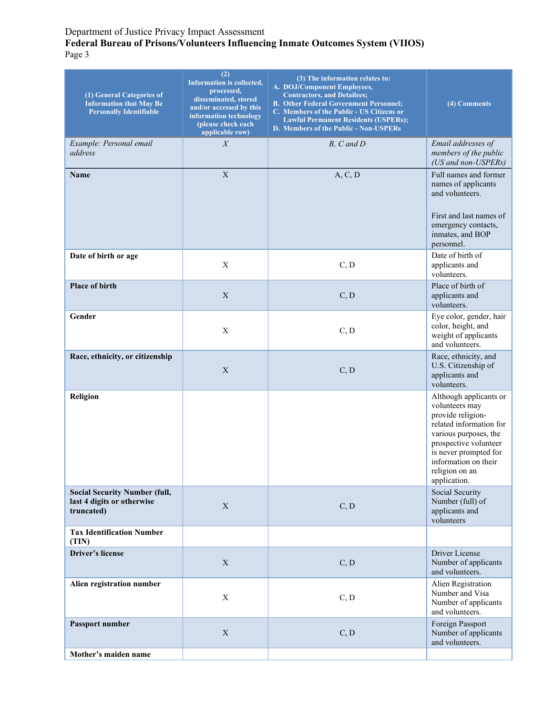#### **Federal Bureau of Prisons/Volunteers Influencing Inmate Outcomes System (VIIOS)** Page 3

| (1) General Categories of<br><b>Information that May Be</b><br><b>Personally Identifiable</b> | (2)<br>Information is collected,<br>processed,<br>disseminated, stored<br>and/or accessed by this<br>information technology<br>(please check each<br>applicable row) | (3) The information relates to:<br>A. DOJ/Component Employees,<br><b>Contractors, and Detailees;</b><br><b>B. Other Federal Government Personnel;</b><br>C. Members of the Public - US Citizens or<br><b>Lawful Permanent Residents (USPERs);</b><br>D. Members of the Public - Non-USPERs | (4) Comments                                                                                                                                                                                                                  |
|-----------------------------------------------------------------------------------------------|----------------------------------------------------------------------------------------------------------------------------------------------------------------------|--------------------------------------------------------------------------------------------------------------------------------------------------------------------------------------------------------------------------------------------------------------------------------------------|-------------------------------------------------------------------------------------------------------------------------------------------------------------------------------------------------------------------------------|
| Example: Personal email<br>address                                                            | $\boldsymbol{X}$                                                                                                                                                     | $B, C \text{ and } D$                                                                                                                                                                                                                                                                      | Email addresses of<br>members of the public<br>(US and non-USPERs)                                                                                                                                                            |
| Name                                                                                          | $\mathbf X$                                                                                                                                                          | A, C, D                                                                                                                                                                                                                                                                                    | Full names and former<br>names of applicants<br>and volunteers.<br>First and last names of<br>emergency contacts,<br>inmates, and BOP<br>personnel.                                                                           |
| Date of birth or age                                                                          | $\boldsymbol{\mathrm{X}}$                                                                                                                                            | C, D                                                                                                                                                                                                                                                                                       | Date of birth of<br>applicants and<br>volunteers.                                                                                                                                                                             |
| <b>Place of birth</b>                                                                         | X                                                                                                                                                                    | C, D                                                                                                                                                                                                                                                                                       | Place of birth of<br>applicants and<br>volunteers.                                                                                                                                                                            |
| Gender                                                                                        | X                                                                                                                                                                    | C, D                                                                                                                                                                                                                                                                                       | Eye color, gender, hair<br>color, height, and<br>weight of applicants<br>and volunteers.                                                                                                                                      |
| Race, ethnicity, or citizenship                                                               | $\mathbf X$                                                                                                                                                          | C, D                                                                                                                                                                                                                                                                                       | Race, ethnicity, and<br>U.S. Citizenship of<br>applicants and<br>volunteers.                                                                                                                                                  |
| Religion                                                                                      |                                                                                                                                                                      |                                                                                                                                                                                                                                                                                            | Although applicants or<br>volunteers may<br>provide religion-<br>related information for<br>various purposes, the<br>prospective volunteer<br>is never prompted for<br>information on their<br>religion on an<br>application. |
| <b>Social Security Number (full,</b><br>last 4 digits or otherwise<br>truncated)              | $\mathbf X$                                                                                                                                                          | C, D                                                                                                                                                                                                                                                                                       | Social Security<br>Number (full) of<br>applicants and<br>volunteers                                                                                                                                                           |
| <b>Tax Identification Number</b><br>(TIN)                                                     |                                                                                                                                                                      |                                                                                                                                                                                                                                                                                            |                                                                                                                                                                                                                               |
| Driver's license                                                                              | $\mathbf X$                                                                                                                                                          | C, D                                                                                                                                                                                                                                                                                       | Driver License<br>Number of applicants<br>and volunteers.                                                                                                                                                                     |
| Alien registration number                                                                     | $\mathbf X$                                                                                                                                                          | C, D                                                                                                                                                                                                                                                                                       | Alien Registration<br>Number and Visa<br>Number of applicants<br>and volunteers.                                                                                                                                              |
| Passport number                                                                               | $\mathbf X$                                                                                                                                                          | C, D                                                                                                                                                                                                                                                                                       | Foreign Passport<br>Number of applicants<br>and volunteers.                                                                                                                                                                   |
| Mother's maiden name                                                                          |                                                                                                                                                                      |                                                                                                                                                                                                                                                                                            |                                                                                                                                                                                                                               |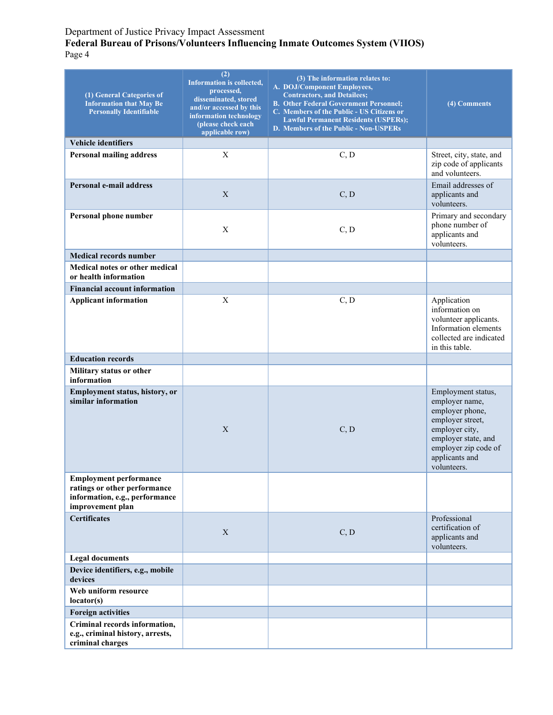#### **Federal Bureau of Prisons/Volunteers Influencing Inmate Outcomes System (VIIOS)** Page 4

| (1) General Categories of<br><b>Information that May Be</b><br><b>Personally Identifiable</b>                       | (2)<br><b>Information is collected,</b><br>processed,<br>disseminated, stored<br>and/or accessed by this<br>information technology<br>(please check each<br>applicable row) | (3) The information relates to:<br>A. DOJ/Component Employees,<br><b>Contractors, and Detailees;</b><br><b>B. Other Federal Government Personnel;</b><br>C. Members of the Public - US Citizens or<br><b>Lawful Permanent Residents (USPERs);</b><br>D. Members of the Public - Non-USPERs | (4) Comments                                                                                                                                                                  |
|---------------------------------------------------------------------------------------------------------------------|-----------------------------------------------------------------------------------------------------------------------------------------------------------------------------|--------------------------------------------------------------------------------------------------------------------------------------------------------------------------------------------------------------------------------------------------------------------------------------------|-------------------------------------------------------------------------------------------------------------------------------------------------------------------------------|
| Vehicle identifiers                                                                                                 |                                                                                                                                                                             |                                                                                                                                                                                                                                                                                            |                                                                                                                                                                               |
| <b>Personal mailing address</b>                                                                                     | $\mathbf X$                                                                                                                                                                 | C, D                                                                                                                                                                                                                                                                                       | Street, city, state, and<br>zip code of applicants<br>and volunteers.                                                                                                         |
| Personal e-mail address                                                                                             | $\mathbf X$                                                                                                                                                                 | C, D                                                                                                                                                                                                                                                                                       | Email addresses of<br>applicants and<br>volunteers.                                                                                                                           |
| Personal phone number                                                                                               | X                                                                                                                                                                           | C, D                                                                                                                                                                                                                                                                                       | Primary and secondary<br>phone number of<br>applicants and<br>volunteers.                                                                                                     |
| <b>Medical records number</b>                                                                                       |                                                                                                                                                                             |                                                                                                                                                                                                                                                                                            |                                                                                                                                                                               |
| Medical notes or other medical<br>or health information                                                             |                                                                                                                                                                             |                                                                                                                                                                                                                                                                                            |                                                                                                                                                                               |
| <b>Financial account information</b>                                                                                |                                                                                                                                                                             |                                                                                                                                                                                                                                                                                            |                                                                                                                                                                               |
| <b>Applicant information</b>                                                                                        | X                                                                                                                                                                           | C, D                                                                                                                                                                                                                                                                                       | Application<br>information on<br>volunteer applicants.<br>Information elements<br>collected are indicated<br>in this table.                                                   |
| <b>Education records</b>                                                                                            |                                                                                                                                                                             |                                                                                                                                                                                                                                                                                            |                                                                                                                                                                               |
| Military status or other<br>information                                                                             |                                                                                                                                                                             |                                                                                                                                                                                                                                                                                            |                                                                                                                                                                               |
| Employment status, history, or<br>similar information                                                               | X                                                                                                                                                                           | C, D                                                                                                                                                                                                                                                                                       | Employment status,<br>employer name,<br>employer phone,<br>employer street,<br>employer city,<br>employer state, and<br>employer zip code of<br>applicants and<br>volunteers. |
| <b>Employment performance</b><br>ratings or other performance<br>information, e.g., performance<br>improvement plan |                                                                                                                                                                             |                                                                                                                                                                                                                                                                                            |                                                                                                                                                                               |
| <b>Certificates</b>                                                                                                 | X                                                                                                                                                                           | C, D                                                                                                                                                                                                                                                                                       | Professional<br>certification of<br>applicants and<br>volunteers.                                                                                                             |
| <b>Legal documents</b>                                                                                              |                                                                                                                                                                             |                                                                                                                                                                                                                                                                                            |                                                                                                                                                                               |
| Device identifiers, e.g., mobile<br>devices                                                                         |                                                                                                                                                                             |                                                                                                                                                                                                                                                                                            |                                                                                                                                                                               |
| Web uniform resource<br>location(s)                                                                                 |                                                                                                                                                                             |                                                                                                                                                                                                                                                                                            |                                                                                                                                                                               |
| <b>Foreign activities</b>                                                                                           |                                                                                                                                                                             |                                                                                                                                                                                                                                                                                            |                                                                                                                                                                               |
| Criminal records information,<br>e.g., criminal history, arrests,<br>criminal charges                               |                                                                                                                                                                             |                                                                                                                                                                                                                                                                                            |                                                                                                                                                                               |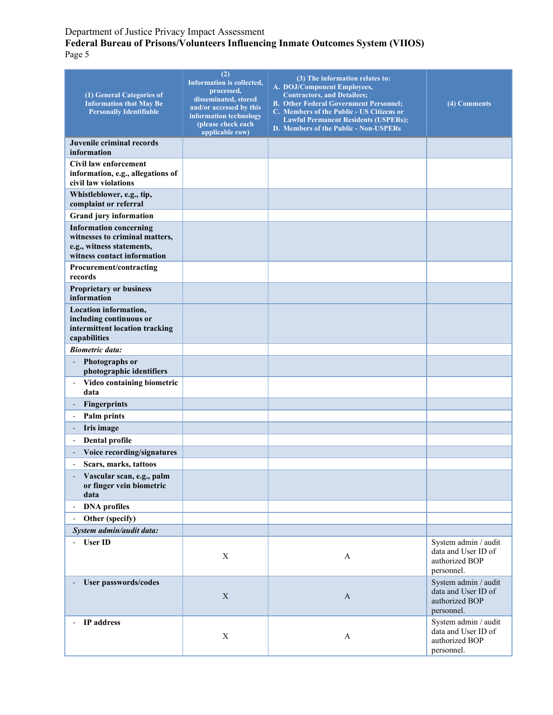#### **Federal Bureau of Prisons/Volunteers Influencing Inmate Outcomes System (VIIOS)** Page 5

| (1) General Categories of<br><b>Information that May Be</b><br><b>Personally Identifiable</b>                               | (2)<br><b>Information is collected,</b><br>processed,<br>disseminated, stored<br>and/or accessed by this<br>information technology<br>(please check each<br>applicable row) | (3) The information relates to:<br>A. DOJ/Component Employees,<br><b>Contractors, and Detailees;</b><br><b>B. Other Federal Government Personnel;</b><br>C. Members of the Public - US Citizens or<br><b>Lawful Permanent Residents (USPERs);</b><br>D. Members of the Public - Non-USPERs | (4) Comments                                                                |
|-----------------------------------------------------------------------------------------------------------------------------|-----------------------------------------------------------------------------------------------------------------------------------------------------------------------------|--------------------------------------------------------------------------------------------------------------------------------------------------------------------------------------------------------------------------------------------------------------------------------------------|-----------------------------------------------------------------------------|
| Juvenile criminal records<br>information                                                                                    |                                                                                                                                                                             |                                                                                                                                                                                                                                                                                            |                                                                             |
| Civil law enforcement                                                                                                       |                                                                                                                                                                             |                                                                                                                                                                                                                                                                                            |                                                                             |
| information, e.g., allegations of<br>civil law violations                                                                   |                                                                                                                                                                             |                                                                                                                                                                                                                                                                                            |                                                                             |
| Whistleblower, e.g., tip,<br>complaint or referral                                                                          |                                                                                                                                                                             |                                                                                                                                                                                                                                                                                            |                                                                             |
| <b>Grand jury information</b>                                                                                               |                                                                                                                                                                             |                                                                                                                                                                                                                                                                                            |                                                                             |
| <b>Information concerning</b><br>witnesses to criminal matters,<br>e.g., witness statements,<br>witness contact information |                                                                                                                                                                             |                                                                                                                                                                                                                                                                                            |                                                                             |
| Procurement/contracting<br>records                                                                                          |                                                                                                                                                                             |                                                                                                                                                                                                                                                                                            |                                                                             |
| <b>Proprietary or business</b><br>information                                                                               |                                                                                                                                                                             |                                                                                                                                                                                                                                                                                            |                                                                             |
| Location information,<br>including continuous or<br>intermittent location tracking<br>capabilities                          |                                                                                                                                                                             |                                                                                                                                                                                                                                                                                            |                                                                             |
| <b>Biometric data:</b>                                                                                                      |                                                                                                                                                                             |                                                                                                                                                                                                                                                                                            |                                                                             |
| Photographs or<br>photographic identifiers                                                                                  |                                                                                                                                                                             |                                                                                                                                                                                                                                                                                            |                                                                             |
| Video containing biometric<br>data                                                                                          |                                                                                                                                                                             |                                                                                                                                                                                                                                                                                            |                                                                             |
| Fingerprints                                                                                                                |                                                                                                                                                                             |                                                                                                                                                                                                                                                                                            |                                                                             |
| Palm prints                                                                                                                 |                                                                                                                                                                             |                                                                                                                                                                                                                                                                                            |                                                                             |
| Iris image                                                                                                                  |                                                                                                                                                                             |                                                                                                                                                                                                                                                                                            |                                                                             |
| Dental profile<br>$\overline{\phantom{a}}$                                                                                  |                                                                                                                                                                             |                                                                                                                                                                                                                                                                                            |                                                                             |
| Voice recording/signatures                                                                                                  |                                                                                                                                                                             |                                                                                                                                                                                                                                                                                            |                                                                             |
| Scars, marks, tattoos                                                                                                       |                                                                                                                                                                             |                                                                                                                                                                                                                                                                                            |                                                                             |
| Vascular scan, e.g., palm<br>or finger vein biometric<br>data                                                               |                                                                                                                                                                             |                                                                                                                                                                                                                                                                                            |                                                                             |
| <b>DNA</b> profiles                                                                                                         |                                                                                                                                                                             |                                                                                                                                                                                                                                                                                            |                                                                             |
| Other (specify)                                                                                                             |                                                                                                                                                                             |                                                                                                                                                                                                                                                                                            |                                                                             |
| System admin/audit data:                                                                                                    |                                                                                                                                                                             |                                                                                                                                                                                                                                                                                            |                                                                             |
| <b>User ID</b>                                                                                                              | $\mathbf X$                                                                                                                                                                 | $\boldsymbol{A}$                                                                                                                                                                                                                                                                           | System admin / audit<br>data and User ID of<br>authorized BOP<br>personnel. |
| <b>User passwords/codes</b>                                                                                                 | $\mathbf X$                                                                                                                                                                 | $\mathbf{A}$                                                                                                                                                                                                                                                                               | System admin / audit<br>data and User ID of<br>authorized BOP<br>personnel. |
| IP address                                                                                                                  | $\mathbf X$                                                                                                                                                                 | A                                                                                                                                                                                                                                                                                          | System admin / audit<br>data and User ID of<br>authorized BOP<br>personnel. |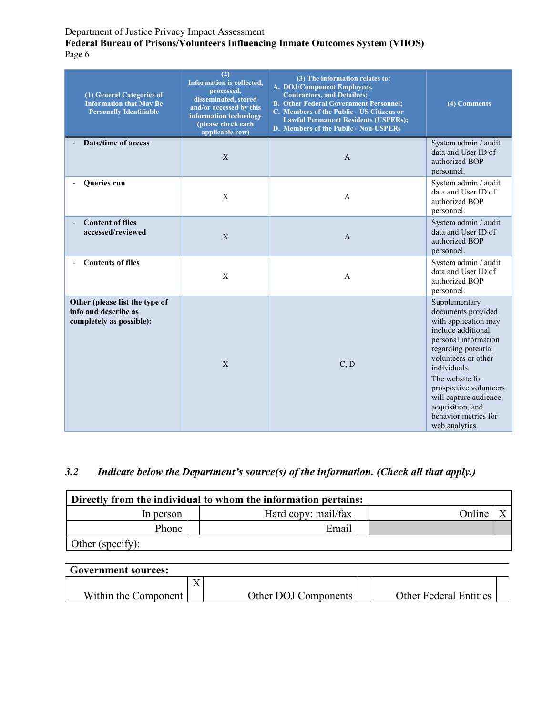#### **Federal Bureau of Prisons/Volunteers Influencing Inmate Outcomes System (VIIOS)** Page 6

| (1) General Categories of<br><b>Information that May Be</b><br><b>Personally Identifiable</b> | (2)<br>Information is collected,<br>processed,<br>disseminated, stored<br>and/or accessed by this<br>information technology<br>(please check each<br>applicable row) | (3) The information relates to:<br>A. DOJ/Component Employees,<br><b>Contractors, and Detailees;</b><br><b>B. Other Federal Government Personnel;</b><br>C. Members of the Public - US Citizens or<br><b>Lawful Permanent Residents (USPERs);</b><br>D. Members of the Public - Non-USPERs | (4) Comments                                                                                                                                                                                                                                                                                                 |
|-----------------------------------------------------------------------------------------------|----------------------------------------------------------------------------------------------------------------------------------------------------------------------|--------------------------------------------------------------------------------------------------------------------------------------------------------------------------------------------------------------------------------------------------------------------------------------------|--------------------------------------------------------------------------------------------------------------------------------------------------------------------------------------------------------------------------------------------------------------------------------------------------------------|
| <b>Date/time of access</b>                                                                    | $\mathbf{X}$                                                                                                                                                         | $\overline{A}$                                                                                                                                                                                                                                                                             | System admin / audit<br>data and User ID of<br>authorized BOP<br>personnel.                                                                                                                                                                                                                                  |
| Queries run                                                                                   | X                                                                                                                                                                    | A                                                                                                                                                                                                                                                                                          | System admin / audit<br>data and User ID of<br>authorized BOP<br>personnel.                                                                                                                                                                                                                                  |
| <b>Content of files</b><br>accessed/reviewed                                                  | X                                                                                                                                                                    | $\mathbf{A}$                                                                                                                                                                                                                                                                               | System admin / audit<br>data and User ID of<br>authorized BOP<br>personnel.                                                                                                                                                                                                                                  |
| <b>Contents of files</b>                                                                      | X                                                                                                                                                                    | $\mathsf{A}$                                                                                                                                                                                                                                                                               | System admin / audit<br>data and User ID of<br>authorized BOP<br>personnel.                                                                                                                                                                                                                                  |
| Other (please list the type of<br>info and describe as<br>completely as possible):            | $\mathbf{X}$                                                                                                                                                         | C, D                                                                                                                                                                                                                                                                                       | Supplementary<br>documents provided<br>with application may<br>include additional<br>personal information<br>regarding potential<br>volunteers or other<br>individuals.<br>The website for<br>prospective volunteers<br>will capture audience,<br>acquisition, and<br>behavior metrics for<br>web analytics. |

# *3.2 Indicate below the Department's source(s) of the information. (Check all that apply.)*

| Directly from the individual to whom the information pertains: |                     |  |        |  |  |
|----------------------------------------------------------------|---------------------|--|--------|--|--|
| In person                                                      | Hard copy: mail/fax |  | Online |  |  |
| Phone                                                          | Email               |  |        |  |  |
| Other (specify):                                               |                     |  |        |  |  |

| <b>Government sources:</b> |         |                      |                               |  |
|----------------------------|---------|----------------------|-------------------------------|--|
|                            | ◥◸<br>Λ |                      |                               |  |
| Within the Component       |         | Other DOJ Components | <b>Other Federal Entities</b> |  |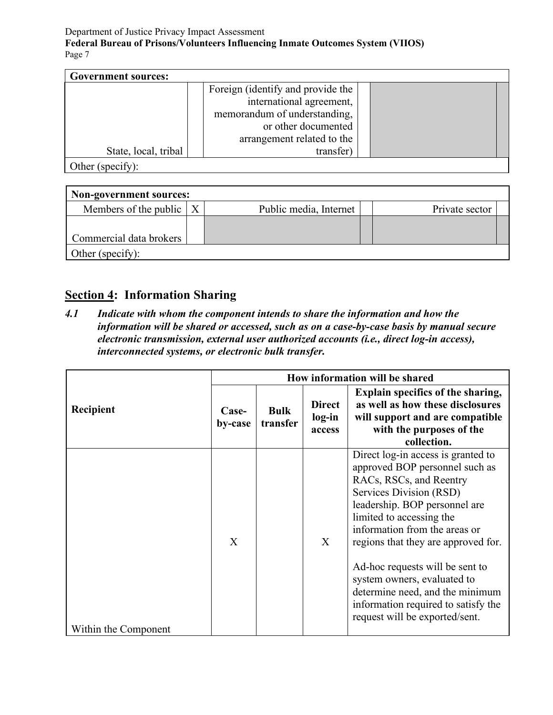| <b>Government sources:</b>                                                                                                                                                                                                                                                                                                                                                |                                   |  |
|---------------------------------------------------------------------------------------------------------------------------------------------------------------------------------------------------------------------------------------------------------------------------------------------------------------------------------------------------------------------------|-----------------------------------|--|
|                                                                                                                                                                                                                                                                                                                                                                           | Foreign (identify and provide the |  |
|                                                                                                                                                                                                                                                                                                                                                                           | international agreement,          |  |
|                                                                                                                                                                                                                                                                                                                                                                           | memorandum of understanding,      |  |
|                                                                                                                                                                                                                                                                                                                                                                           | or other documented               |  |
|                                                                                                                                                                                                                                                                                                                                                                           | arrangement related to the        |  |
| State, local, tribal                                                                                                                                                                                                                                                                                                                                                      | transfer)                         |  |
| $\bigcap_{k\geq 0} \bigcap_{k\geq 0} \bigcap_{k\geq 0} \bigcap_{k\geq 0} \bigcap_{k\geq 0} \bigcap_{k\geq 0} \bigcap_{k\geq 0} \bigcap_{k\geq 0} \bigcap_{k\geq 0} \bigcap_{k\geq 0} \bigcap_{k\geq 0} \bigcap_{k\geq 0} \bigcap_{k\geq 0} \bigcap_{k\geq 0} \bigcap_{k\geq 0} \bigcap_{k\geq 0} \bigcap_{k\geq 0} \bigcap_{k\geq 0} \bigcap_{k\geq 0} \bigcap_{k\geq 0}$ |                                   |  |

Other (specify):

| Non-government sources:             |  |                        |                |  |  |  |
|-------------------------------------|--|------------------------|----------------|--|--|--|
| Members of the public $\mid X \mid$ |  | Public media, Internet | Private sector |  |  |  |
|                                     |  |                        |                |  |  |  |
| Commercial data brokers             |  |                        |                |  |  |  |
| Other (specify):                    |  |                        |                |  |  |  |

# **Section 4: Information Sharing**

*4.1 Indicate with whom the component intends to share the information and how the information will be shared or accessed, such as on a case-by-case basis by manual secure electronic transmission, external user authorized accounts (i.e., direct log-in access), interconnected systems, or electronic bulk transfer.*

|                      | How information will be shared |                         |                                   |                                                                                                                                                                                                                                                                                                                                                                                                                                               |
|----------------------|--------------------------------|-------------------------|-----------------------------------|-----------------------------------------------------------------------------------------------------------------------------------------------------------------------------------------------------------------------------------------------------------------------------------------------------------------------------------------------------------------------------------------------------------------------------------------------|
| Recipient            | Case-<br>by-case               | <b>Bulk</b><br>transfer | <b>Direct</b><br>log-in<br>access | Explain specifics of the sharing,<br>as well as how these disclosures<br>will support and are compatible<br>with the purposes of the<br>collection.                                                                                                                                                                                                                                                                                           |
| Within the Component | X                              |                         | X                                 | Direct log-in access is granted to<br>approved BOP personnel such as<br>RACs, RSCs, and Reentry<br>Services Division (RSD)<br>leadership. BOP personnel are<br>limited to accessing the<br>information from the areas or<br>regions that they are approved for.<br>Ad-hoc requests will be sent to<br>system owners, evaluated to<br>determine need, and the minimum<br>information required to satisfy the<br>request will be exported/sent. |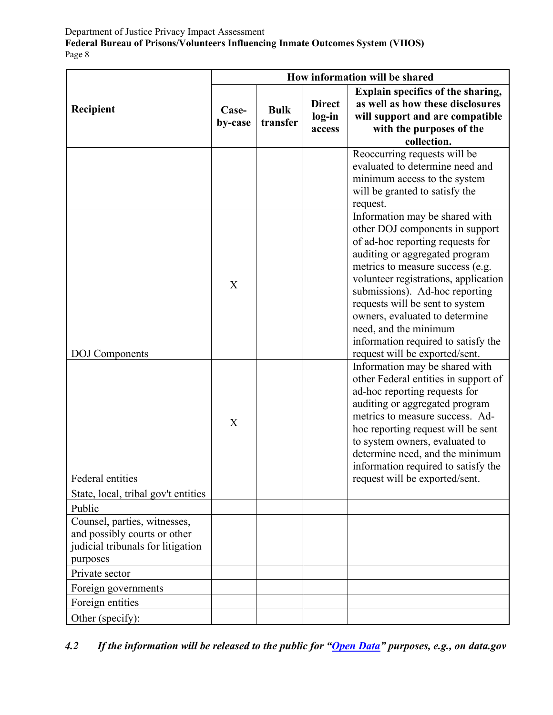|                                                                               | How information will be shared |                         |                                   |                                                                                                                                                                                                                                                                                                                                                                                                                              |
|-------------------------------------------------------------------------------|--------------------------------|-------------------------|-----------------------------------|------------------------------------------------------------------------------------------------------------------------------------------------------------------------------------------------------------------------------------------------------------------------------------------------------------------------------------------------------------------------------------------------------------------------------|
| Recipient                                                                     | Case-<br>by-case               | <b>Bulk</b><br>transfer | <b>Direct</b><br>log-in<br>access | Explain specifics of the sharing,<br>as well as how these disclosures<br>will support and are compatible<br>with the purposes of the<br>collection.                                                                                                                                                                                                                                                                          |
|                                                                               |                                |                         |                                   | Reoccurring requests will be<br>evaluated to determine need and<br>minimum access to the system<br>will be granted to satisfy the<br>request.                                                                                                                                                                                                                                                                                |
| <b>DOJ</b> Components                                                         | X                              |                         |                                   | Information may be shared with<br>other DOJ components in support<br>of ad-hoc reporting requests for<br>auditing or aggregated program<br>metrics to measure success (e.g.<br>volunteer registrations, application<br>submissions). Ad-hoc reporting<br>requests will be sent to system<br>owners, evaluated to determine<br>need, and the minimum<br>information required to satisfy the<br>request will be exported/sent. |
| <b>Federal entities</b>                                                       | X                              |                         |                                   | Information may be shared with<br>other Federal entities in support of<br>ad-hoc reporting requests for<br>auditing or aggregated program<br>metrics to measure success. Ad-<br>hoc reporting request will be sent<br>to system owners, evaluated to<br>determine need, and the minimum<br>information required to satisfy the<br>request will be exported/sent.                                                             |
| State, local, tribal gov't entities                                           |                                |                         |                                   |                                                                                                                                                                                                                                                                                                                                                                                                                              |
| Public<br>Counsel, parties, witnesses,                                        |                                |                         |                                   |                                                                                                                                                                                                                                                                                                                                                                                                                              |
| and possibly courts or other<br>judicial tribunals for litigation<br>purposes |                                |                         |                                   |                                                                                                                                                                                                                                                                                                                                                                                                                              |
| Private sector                                                                |                                |                         |                                   |                                                                                                                                                                                                                                                                                                                                                                                                                              |
| Foreign governments                                                           |                                |                         |                                   |                                                                                                                                                                                                                                                                                                                                                                                                                              |
| Foreign entities                                                              |                                |                         |                                   |                                                                                                                                                                                                                                                                                                                                                                                                                              |
| Other (specify):                                                              |                                |                         |                                   |                                                                                                                                                                                                                                                                                                                                                                                                                              |

*4.2 If the information will be released to the public for ["Open Data"](https://www.justice.gov/open/open-data) purposes, e.g., on data.gov*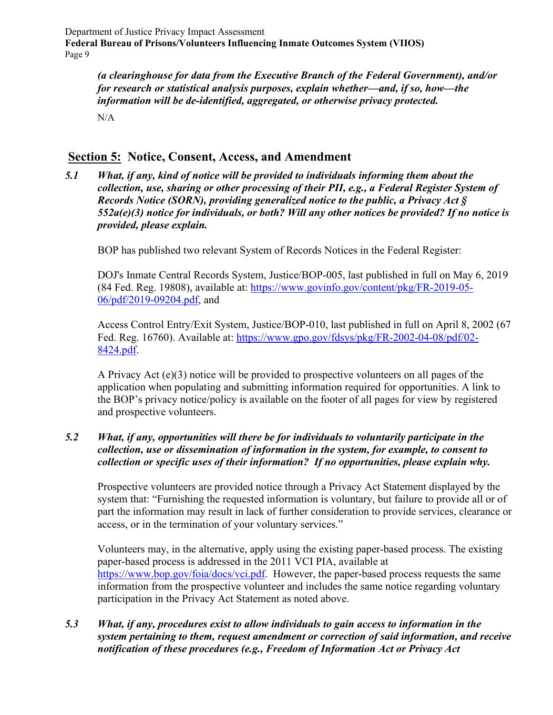*(a clearinghouse for data from the Executive Branch of the Federal Government), and/or for research or statistical analysis purposes, explain whether—and, if so, how—the information will be de-identified, aggregated, or otherwise privacy protected.*  $N/A$ 

# **Section 5: Notice, Consent, Access, and Amendment**

*5.1 What, if any, kind of notice will be provided to individuals informing them about the collection, use, sharing or other processing of their PII, e.g., a Federal Register System of Records Notice (SORN), providing generalized notice to the public, a Privacy Act § 552a(e)(3) notice for individuals, or both? Will any other notices be provided? If no notice is provided, please explain.*

BOP has published two relevant System of Records Notices in the Federal Register:

DOJ's Inmate Central Records System, Justice/BOP-005, last published in full on May 6, 2019 (84 Fed. Reg. 19808), available at: [https://www.govinfo.gov/content/pkg/FR-2019-05-](https://www.govinfo.gov/content/pkg/FR-2019-05-06/pdf/2019-09204.pdf) [06/pdf/2019-09204.pdf,](https://www.govinfo.gov/content/pkg/FR-2019-05-06/pdf/2019-09204.pdf) and

Access Control Entry/Exit System, Justice/BOP-010, last published in full on April 8, 2002 (67 Fed. Reg. 16760). Available at: [https://www.gpo.gov/fdsys/pkg/FR-2002-04-08/pdf/02-](https://www.gpo.gov/fdsys/pkg/FR-2002-04-08/pdf/02-8424.pdf) [8424.pdf.](https://www.gpo.gov/fdsys/pkg/FR-2002-04-08/pdf/02-8424.pdf)

A Privacy Act (e)(3) notice will be provided to prospective volunteers on all pages of the application when populating and submitting information required for opportunities. A link to the BOP's privacy notice/policy is available on the footer of all pages for view by registered and prospective volunteers.

### *5.2 What, if any, opportunities will there be for individuals to voluntarily participate in the collection, use or dissemination of information in the system, for example, to consent to collection or specific uses of their information? If no opportunities, please explain why.*

Prospective volunteers are provided notice through a Privacy Act Statement displayed by the system that: "Furnishing the requested information is voluntary, but failure to provide all or of part the information may result in lack of further consideration to provide services, clearance or access, or in the termination of your voluntary services."

Volunteers may, in the alternative, apply using the existing paper-based process. The existing paper-based process is addressed in the 2011 VCI PIA, available at [https://www.bop.gov/foia/docs/vci.pdf.](https://www.bop.gov/foia/docs/vci.pdf) However, the paper-based process requests the same information from the prospective volunteer and includes the same notice regarding voluntary participation in the Privacy Act Statement as noted above.

## *5.3 What, if any, procedures exist to allow individuals to gain access to information in the system pertaining to them, request amendment or correction of said information, and receive notification of these procedures (e.g., Freedom of Information Act or Privacy Act*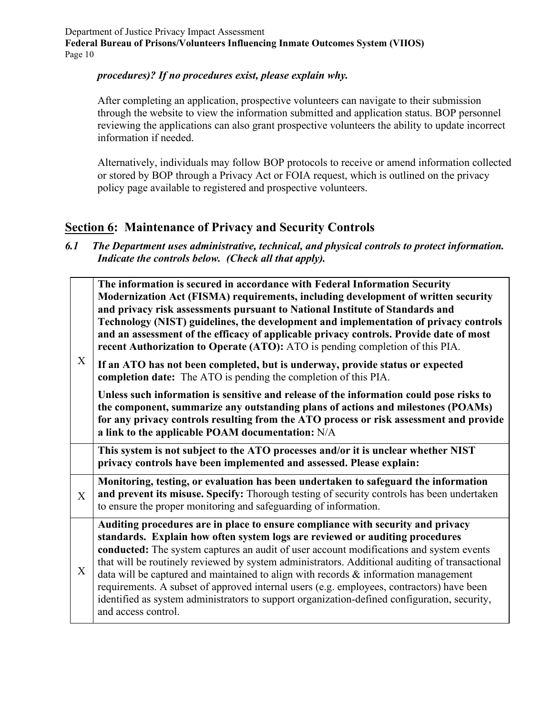## *procedures)? If no procedures exist, please explain why.*

After completing an application, prospective volunteers can navigate to their submission through the website to view the information submitted and application status. BOP personnel reviewing the applications can also grant prospective volunteers the ability to update incorrect information if needed.

Alternatively, individuals may follow BOP protocols to receive or amend information collected or stored by BOP through a Privacy Act or FOIA request, which is outlined on the privacy policy page available to registered and prospective volunteers.

# **Section 6: Maintenance of Privacy and Security Controls**

*6.1 The Department uses administrative, technical, and physical controls to protect information. Indicate the controls below. (Check all that apply).*

|              | The information is secured in accordance with Federal Information Security<br>Modernization Act (FISMA) requirements, including development of written security<br>and privacy risk assessments pursuant to National Institute of Standards and<br>Technology (NIST) guidelines, the development and implementation of privacy controls<br>and an assessment of the efficacy of applicable privacy controls. Provide date of most<br>recent Authorization to Operate (ATO): ATO is pending completion of this PIA.                                  |
|--------------|-----------------------------------------------------------------------------------------------------------------------------------------------------------------------------------------------------------------------------------------------------------------------------------------------------------------------------------------------------------------------------------------------------------------------------------------------------------------------------------------------------------------------------------------------------|
| X            | If an ATO has not been completed, but is underway, provide status or expected<br>completion date: The ATO is pending the completion of this PIA.                                                                                                                                                                                                                                                                                                                                                                                                    |
|              | Unless such information is sensitive and release of the information could pose risks to<br>the component, summarize any outstanding plans of actions and milestones (POAMs)<br>for any privacy controls resulting from the ATO process or risk assessment and provide<br>a link to the applicable POAM documentation: N/A                                                                                                                                                                                                                           |
|              | This system is not subject to the ATO processes and/or it is unclear whether NIST<br>privacy controls have been implemented and assessed. Please explain:                                                                                                                                                                                                                                                                                                                                                                                           |
| $\mathbf{X}$ | Monitoring, testing, or evaluation has been undertaken to safeguard the information<br>and prevent its misuse. Specify: Thorough testing of security controls has been undertaken<br>to ensure the proper monitoring and safeguarding of information.                                                                                                                                                                                                                                                                                               |
| X            | Auditing procedures are in place to ensure compliance with security and privacy<br>standards. Explain how often system logs are reviewed or auditing procedures<br>conducted: The system captures an audit of user account modifications and system events<br>that will be routinely reviewed by system administrators. Additional auditing of transactional<br>data will be captured and maintained to align with records $\&$ information management<br>requirements. A subset of approved internal users (e.g. employees, contractors) have been |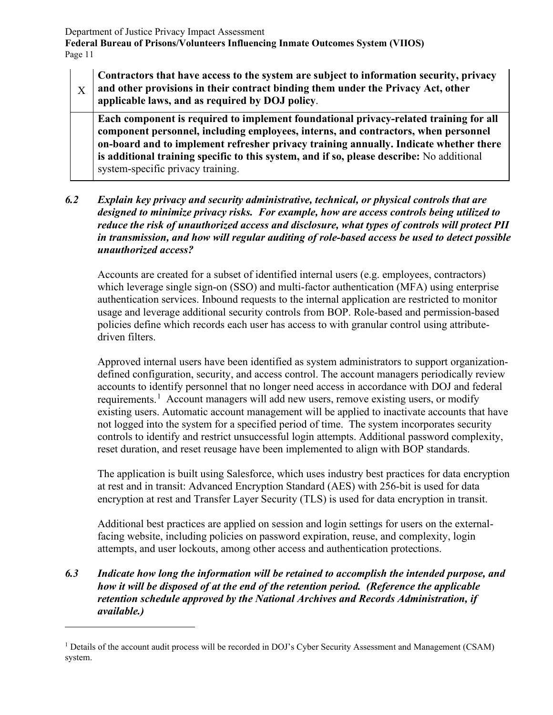X **Contractors that have access to the system are subject to information security, privacy and other provisions in their contract binding them under the Privacy Act, other applicable laws, and as required by DOJ policy**.

**Each component is required to implement foundational privacy-related training for all component personnel, including employees, interns, and contractors, when personnel on-board and to implement refresher privacy training annually. Indicate whether there is additional training specific to this system, and if so, please describe:** No additional system-specific privacy training.

*6.2 Explain key privacy and security administrative, technical, or physical controls that are designed to minimize privacy risks. For example, how are access controls being utilized to reduce the risk of unauthorized access and disclosure, what types of controls will protect PII in transmission, and how will regular auditing of role-based access be used to detect possible unauthorized access?*

Accounts are created for a subset of identified internal users (e.g. employees, contractors) which leverage single sign-on (SSO) and multi-factor authentication (MFA) using enterprise authentication services. Inbound requests to the internal application are restricted to monitor usage and leverage additional security controls from BOP. Role-based and permission-based policies define which records each user has access to with granular control using attributedriven filters.

Approved internal users have been identified as system administrators to support organizationdefined configuration, security, and access control. The account managers periodically review accounts to identify personnel that no longer need access in accordance with DOJ and federal requirements.<sup>[1](#page-11-0)</sup> Account managers will add new users, remove existing users, or modify existing users. Automatic account management will be applied to inactivate accounts that have not logged into the system for a specified period of time. The system incorporates security controls to identify and restrict unsuccessful login attempts. Additional password complexity, reset duration, and reset reusage have been implemented to align with BOP standards.

The application is built using Salesforce, which uses industry best practices for data encryption at rest and in transit: Advanced Encryption Standard (AES) with 256-bit is used for data encryption at rest and Transfer Layer Security (TLS) is used for data encryption in transit.

Additional best practices are applied on session and login settings for users on the externalfacing website, including policies on password expiration, reuse, and complexity, login attempts, and user lockouts, among other access and authentication protections.

## *6.3 Indicate how long the information will be retained to accomplish the intended purpose, and how it will be disposed of at the end of the retention period. (Reference the applicable retention schedule approved by the National Archives and Records Administration, if available.)*

<span id="page-11-0"></span><sup>&</sup>lt;sup>1</sup> Details of the account audit process will be recorded in DOJ's Cyber Security Assessment and Management (CSAM) system.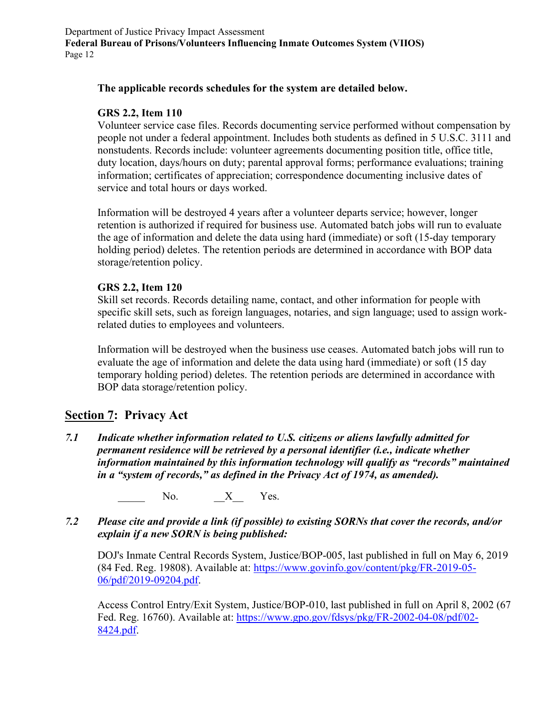### **The applicable records schedules for the system are detailed below.**

#### **GRS 2.2, Item 110**

Volunteer service case files. Records documenting service performed without compensation by people not under a federal appointment. Includes both students as defined in 5 U.S.C. 3111 and nonstudents. Records include: volunteer agreements documenting position title, office title, duty location, days/hours on duty; parental approval forms; performance evaluations; training information; certificates of appreciation; correspondence documenting inclusive dates of service and total hours or days worked.

Information will be destroyed 4 years after a volunteer departs service; however, longer retention is authorized if required for business use. Automated batch jobs will run to evaluate the age of information and delete the data using hard (immediate) or soft (15-day temporary holding period) deletes. The retention periods are determined in accordance with BOP data storage/retention policy.

#### **GRS 2.2, Item 120**

Skill set records. Records detailing name, contact, and other information for people with specific skill sets, such as foreign languages, notaries, and sign language; used to assign workrelated duties to employees and volunteers.

Information will be destroyed when the business use ceases. Automated batch jobs will run to evaluate the age of information and delete the data using hard (immediate) or soft (15 day temporary holding period) deletes. The retention periods are determined in accordance with BOP data storage/retention policy.

## **Section 7: Privacy Act**

*7.1 Indicate whether information related to U.S. citizens or aliens lawfully admitted for permanent residence will be retrieved by a personal identifier (i.e., indicate whether information maintained by this information technology will qualify as "records" maintained in a "system of records," as defined in the Privacy Act of 1974, as amended).*

No.  $X$  Yes.

*7.2 Please cite and provide a link (if possible) to existing SORNs that cover the records, and/or explain if a new SORN is being published:*

DOJ's Inmate Central Records System, Justice/BOP-005, last published in full on May 6, 2019 (84 Fed. Reg. 19808). Available at: [https://www.govinfo.gov/content/pkg/FR-2019-05-](https://www.govinfo.gov/content/pkg/FR-2019-05-06/pdf/2019-09204.pdf) [06/pdf/2019-09204.pdf.](https://www.govinfo.gov/content/pkg/FR-2019-05-06/pdf/2019-09204.pdf)

Access Control Entry/Exit System, Justice/BOP-010, last published in full on April 8, 2002 (67 Fed. Reg. 16760). Available at: [https://www.gpo.gov/fdsys/pkg/FR-2002-04-08/pdf/02-](https://www.gpo.gov/fdsys/pkg/FR-2002-04-08/pdf/02-8424.pdf) [8424.pdf.](https://www.gpo.gov/fdsys/pkg/FR-2002-04-08/pdf/02-8424.pdf)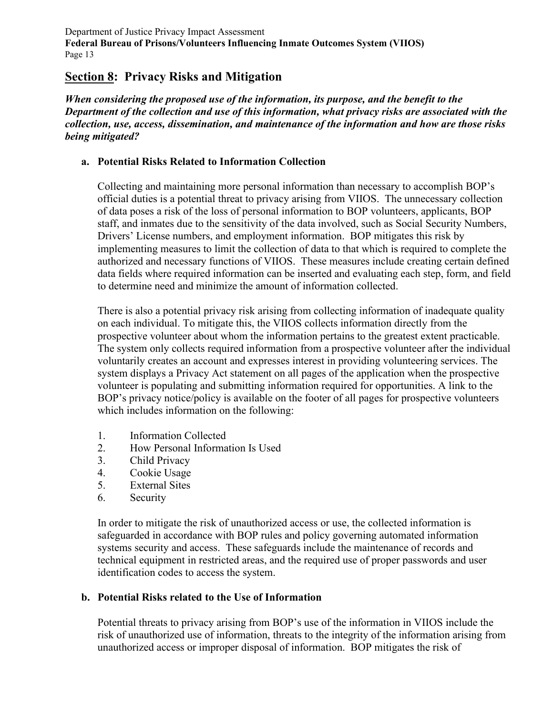# **Section 8: Privacy Risks and Mitigation**

*When considering the proposed use of the information, its purpose, and the benefit to the Department of the collection and use of this information, what privacy risks are associated with the collection, use, access, dissemination, and maintenance of the information and how are those risks being mitigated?*

## **a. Potential Risks Related to Information Collection**

Collecting and maintaining more personal information than necessary to accomplish BOP's official duties is a potential threat to privacy arising from VIIOS. The unnecessary collection of data poses a risk of the loss of personal information to BOP volunteers, applicants, BOP staff, and inmates due to the sensitivity of the data involved, such as Social Security Numbers, Drivers' License numbers, and employment information. BOP mitigates this risk by implementing measures to limit the collection of data to that which is required to complete the authorized and necessary functions of VIIOS. These measures include creating certain defined data fields where required information can be inserted and evaluating each step, form, and field to determine need and minimize the amount of information collected.

There is also a potential privacy risk arising from collecting information of inadequate quality on each individual. To mitigate this, the VIIOS collects information directly from the prospective volunteer about whom the information pertains to the greatest extent practicable. The system only collects required information from a prospective volunteer after the individual voluntarily creates an account and expresses interest in providing volunteering services. The system displays a Privacy Act statement on all pages of the application when the prospective volunteer is populating and submitting information required for opportunities. A link to the BOP's privacy notice/policy is available on the footer of all pages for prospective volunteers which includes information on the following:

- 1. Information Collected
- 2. How Personal Information Is Used
- 3. Child Privacy
- 4. Cookie Usage
- 5. External Sites
- 6. Security

In order to mitigate the risk of unauthorized access or use, the collected information is safeguarded in accordance with BOP rules and policy governing automated information systems security and access. These safeguards include the maintenance of records and technical equipment in restricted areas, and the required use of proper passwords and user identification codes to access the system.

## **b. Potential Risks related to the Use of Information**

Potential threats to privacy arising from BOP's use of the information in VIIOS include the risk of unauthorized use of information, threats to the integrity of the information arising from unauthorized access or improper disposal of information. BOP mitigates the risk of